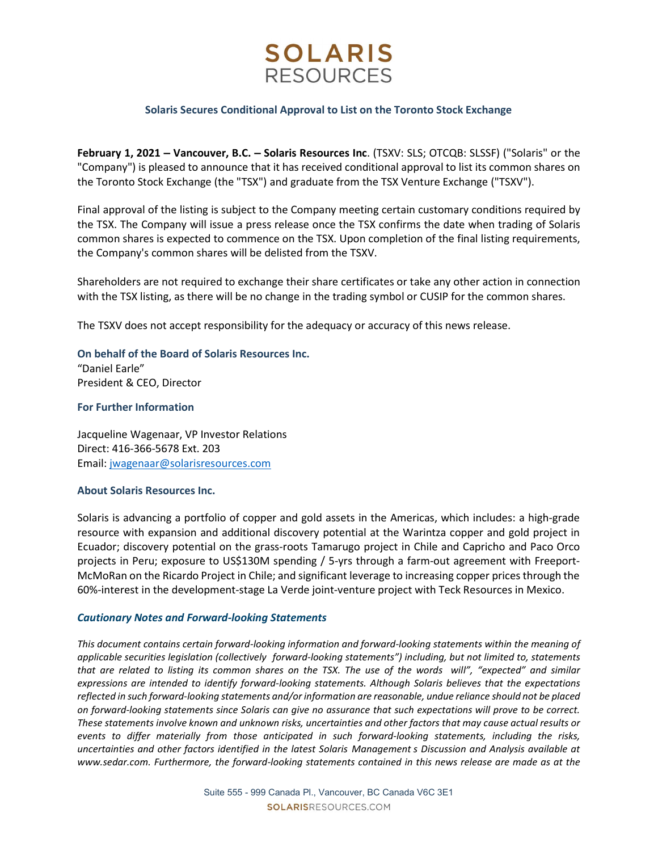# **SOLARIS RESOURCES**

## Solaris Secures Conditional Approval to List on the Toronto Stock Exchange

February 1, 2021 – Vancouver, B.C. – Solaris Resources Inc. (TSXV: SLS; OTCQB: SLSSF) ("Solaris" or the "Company") is pleased to announce that it has received conditional approval to list its common shares on the Toronto Stock Exchange (the "TSX") and graduate from the TSX Venture Exchange ("TSXV").

Final approval of the listing is subject to the Company meeting certain customary conditions required by the TSX. The Company will issue a press release once the TSX confirms the date when trading of Solaris common shares is expected to commence on the TSX. Upon completion of the final listing requirements, the Company's common shares will be delisted from the TSXV.

Shareholders are not required to exchange their share certificates or take any other action in connection with the TSX listing, as there will be no change in the trading symbol or CUSIP for the common shares.

The TSXV does not accept responsibility for the adequacy or accuracy of this news release.

On behalf of the Board of Solaris Resources Inc. "Daniel Earle" President & CEO, Director

## For Further Information

Jacqueline Wagenaar, VP Investor Relations Direct: 416-366-5678 Ext. 203 Email: jwagenaar@solarisresources.com

### About Solaris Resources Inc.

Solaris is advancing a portfolio of copper and gold assets in the Americas, which includes: a high-grade resource with expansion and additional discovery potential at the Warintza copper and gold project in Ecuador; discovery potential on the grass-roots Tamarugo project in Chile and Capricho and Paco Orco projects in Peru; exposure to US\$130M spending / 5-yrs through a farm-out agreement with Freeport-McMoRan on the Ricardo Project in Chile; and significant leverage to increasing copper prices through the 60%-interest in the development-stage La Verde joint-venture project with Teck Resources in Mexico.

### Cautionary Notes and Forward-looking Statements

This document contains certain forward-looking information and forward-looking statements within the meaning of applicable securities legislation (collectively forward-looking statements") including, but not limited to, statements that are related to listing its common shares on the TSX. The use of the words will", "expected" and similar expressions are intended to identify forward-looking statements. Although Solaris believes that the expectations reflected in such forward-looking statements and/or information are reasonable, undue reliance should not be placed on forward-looking statements since Solaris can give no assurance that such expectations will prove to be correct. These statements involve known and unknown risks, uncertainties and other factors that may cause actual results or events to differ materially from those anticipated in such forward-looking statements, including the risks, About Solaris Resources Inc.<br>
Solaris is advancing a portfolio of copper and gold assets in the Americas, which includes: a high-grade<br>
resource with expansion and additional discovery potential at the Warintza cooper and www.sedar.com. Furthermore, the forward-looking statements contained in this news release are made as at the